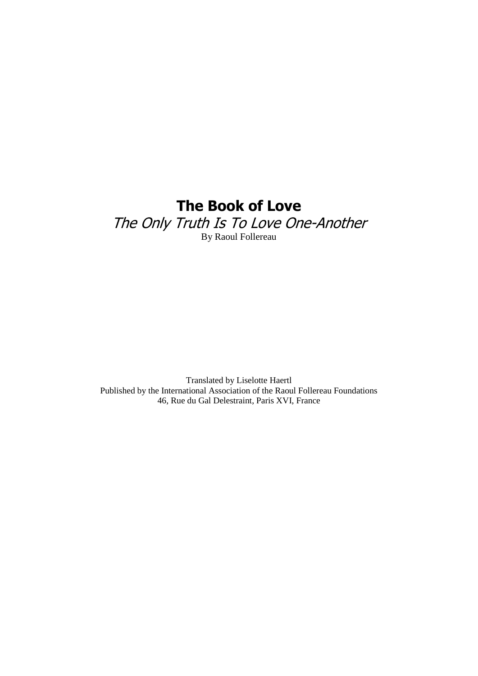# **The Book of Love** The Only Truth Is To Love One-Another By Raoul Follereau

Translated by Liselotte Haertl Published by the International Association of the Raoul Follereau Foundations 46, Rue du Gal Delestraint, Paris XVI, France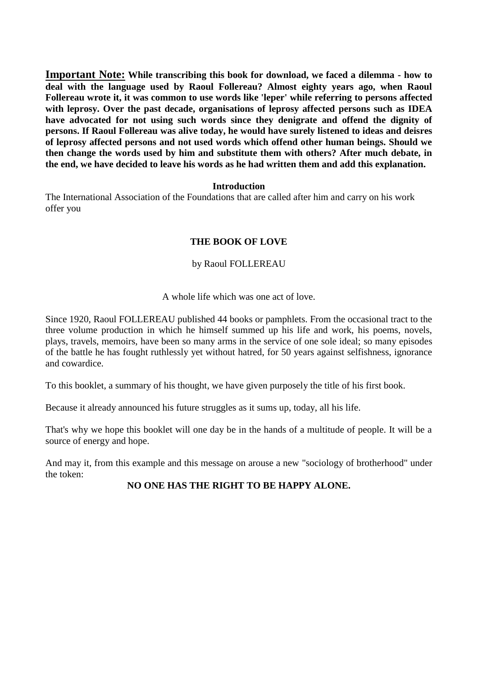**Important Note: While transcribing this book for download, we faced a dilemma - how to deal with the language used by Raoul Follereau? Almost eighty years ago, when Raoul Follereau wrote it, it was common to use words like 'leper' while referring to persons affected with leprosy. Over the past decade, organisations of leprosy affected persons such as IDEA have advocated for not using such words since they denigrate and offend the dignity of persons. If Raoul Follereau was alive today, he would have surely listened to ideas and deisres of leprosy affected persons and not used words which offend other human beings. Should we then change the words used by him and substitute them with others? After much debate, in the end, we have decided to leave his words as he had written them and add this explanation.**

#### **Introduction**

The International Association of the Foundations that are called after him and carry on his work offer you

#### **THE BOOK OF LOVE**

#### by Raoul FOLLEREAU

#### A whole life which was one act of love.

Since 1920, Raoul FOLLEREAU published 44 books or pamphlets. From the occasional tract to the three volume production in which he himself summed up his life and work, his poems, novels, plays, travels, memoirs, have been so many arms in the service of one sole ideal; so many episodes of the battle he has fought ruthlessly yet without hatred, for 50 years against selfishness, ignorance and cowardice.

To this booklet, a summary of his thought, we have given purposely the title of his first book.

Because it already announced his future struggles as it sums up, today, all his life.

That's why we hope this booklet will one day be in the hands of a multitude of people. It will be a source of energy and hope.

And may it, from this example and this message on arouse a new "sociology of brotherhood" under the token:

### **NO ONE HAS THE RIGHT TO BE HAPPY ALONE.**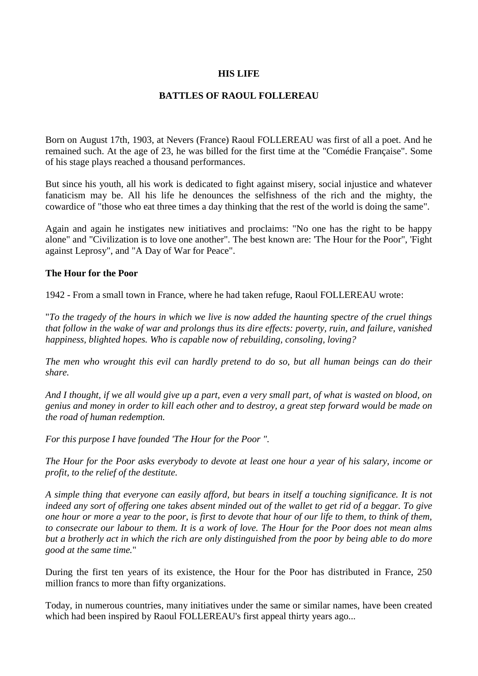#### **HIS LIFE**

#### **BATTLES OF RAOUL FOLLEREAU**

Born on August 17th, 1903, at Nevers (France) Raoul FOLLEREAU was first of all a poet. And he remained such. At the age of 23, he was billed for the first time at the "Comédie Française". Some of his stage plays reached a thousand performances.

But since his youth, all his work is dedicated to fight against misery, social injustice and whatever fanaticism may be. All his life he denounces the selfishness of the rich and the mighty, the cowardice of "those who eat three times a day thinking that the rest of the world is doing the same".

Again and again he instigates new initiatives and proclaims: "No one has the right to be happy alone" and "Civilization is to love one another". The best known are: 'The Hour for the Poor", 'Fight against Leprosy", and "A Day of War for Peace".

#### **The Hour for the Poor**

1942 - From a small town in France, where he had taken refuge, Raoul FOLLEREAU wrote:

"*To the tragedy of the hours in which we live is now added the haunting spectre of the cruel things that follow in the wake of war and prolongs thus its dire effects: poverty, ruin, and failure, vanished happiness, blighted hopes. Who is capable now of rebuilding, consoling, loving?*

*The men who wrought this evil can hardly pretend to do so, but all human beings can do their share.*

*And I thought, if we all would give up a part, even a very small part, of what is wasted on blood, on genius and money in order to kill each other and to destroy, a great step forward would be made on the road of human redemption.*

*For this purpose I have founded 'The Hour for the Poor ".*

*The Hour for the Poor asks everybody to devote at least one hour a year of his salary, income or profit, to the relief of the destitute.*

*A simple thing that everyone can easily afford, but bears in itself a touching significance. It is not indeed any sort of offering one takes absent minded out of the wallet to get rid of a beggar. To give one hour or more a year to the poor, is first to devote that hour of our life to them, to think of them, to consecrate our labour to them. It is a work of love. The Hour for the Poor does not mean alms but a brotherly act in which the rich are only distinguished from the poor by being able to do more good at the same time.*"

During the first ten years of its existence, the Hour for the Poor has distributed in France, 250 million francs to more than fifty organizations.

Today, in numerous countries, many initiatives under the same or similar names, have been created which had been inspired by Raoul FOLLEREAU's first appeal thirty years ago...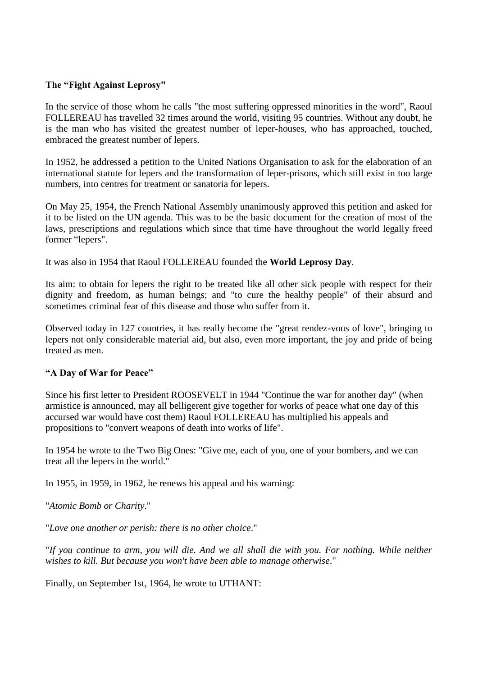### **The "Fight Against Leprosy"**

In the service of those whom he calls "the most suffering oppressed minorities in the word", Raoul FOLLEREAU has travelled 32 times around the world, visiting 95 countries. Without any doubt, he is the man who has visited the greatest number of leper-houses, who has approached, touched, embraced the greatest number of lepers.

In 1952, he addressed a petition to the United Nations Organisation to ask for the elaboration of an international statute for lepers and the transformation of leper-prisons, which still exist in too large numbers, into centres for treatment or sanatoria for lepers.

On May 25, 1954, the French National Assembly unanimously approved this petition and asked for it to be listed on the UN agenda. This was to be the basic document for the creation of most of the laws, prescriptions and regulations which since that time have throughout the world legally freed former "lepers".

It was also in 1954 that Raoul FOLLEREAU founded the **World Leprosy Day**.

Its aim: to obtain for lepers the right to be treated like all other sick people with respect for their dignity and freedom, as human beings; and "to cure the healthy people" of their absurd and sometimes criminal fear of this disease and those who suffer from it.

Observed today in 127 countries, it has really become the "great rendez-vous of love", bringing to lepers not only considerable material aid, but also, even more important, the joy and pride of being treated as men.

### **"A Day of War for Peace"**

Since his first letter to President ROOSEVELT in 1944 "Continue the war for another day" (when armistice is announced, may all belligerent give together for works of peace what one day of this accursed war would have cost them) Raoul FOLLEREAU has multiplied his appeals and propositions to "convert weapons of death into works of life".

In 1954 he wrote to the Two Big Ones: "Give me, each of you, one of your bombers, and we can treat all the lepers in the world."

In 1955, in 1959, in 1962, he renews his appeal and his warning:

"*Atomic Bomb or Charity*."

"*Love one another or perish: there is no other choice*."

"*If you continue to arm, you will die. And we all shall die with you. For nothing. While neither wishes to kill. But because you won't have been able to manage otherwise*."

Finally, on September 1st, 1964, he wrote to UTHANT: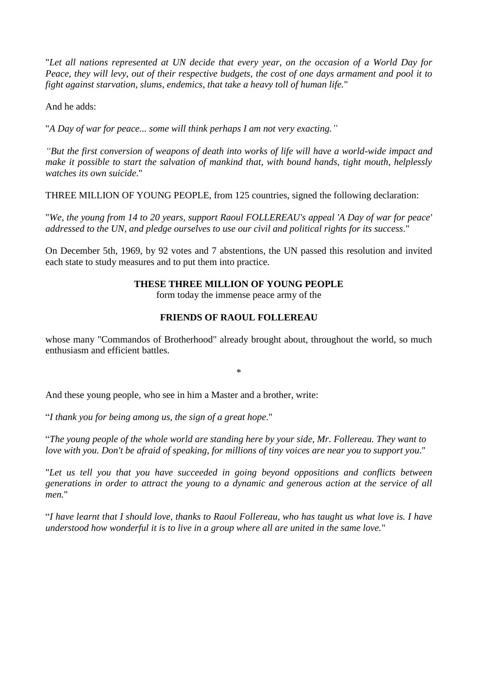"*Let all nations represented at UN decide that every year, on the occasion of a World Day for Peace, they will levy, out of their respective budgets, the cost of one days armament and pool it to fight against starvation, slums, endemics, that take a heavy toll of human life.*"

And he adds:

"*A Day of war for peace... some will think perhaps I am not very exacting."*

*"But the first conversion of weapons of death into works of life will have a world-wide impact and make it possible to start the salvation of mankind that, with bound hands, tight mouth, helplessly watches its own suicide*."

THREE MILLION OF YOUNG PEOPLE, from 125 countries, signed the following declaration:

"*We, the young from 14 to 20 years, support Raoul FOLLEREAU's appeal 'A Day of war for peace' addressed to the UN, and pledge ourselves to use our civil and political rights for its success*."

On December 5th, 1969, by 92 votes and 7 abstentions, the UN passed this resolution and invited each state to study measures and to put them into practice.

#### **THESE THREE MILLION OF YOUNG PEOPLE**

form today the immense peace army of the

#### **FRIENDS OF RAOUL FOLLEREAU**

whose many "Commandos of Brotherhood" already brought about, throughout the world, so much enthusiasm and efficient battles.

\*

And these young people, who see in him a Master and a brother, write:

"*I thank you for being among us, the sign of a great hope*."

"*The young people of the whole world are standing here by your side, Mr. Follereau. They want to love with you. Don't be afraid of speaking, for millions of tiny voices are near you to support you*."

"*Let us tell you that you have succeeded in going beyond oppositions and conflicts between generations in order to attract the young to a dynamic and generous action at the service of all men.*"

"*I have learnt that I should love, thanks to Raoul Follereau, who has taught us what love is. I have understood how wonderful it is to live in a group where all are united in the same love.*"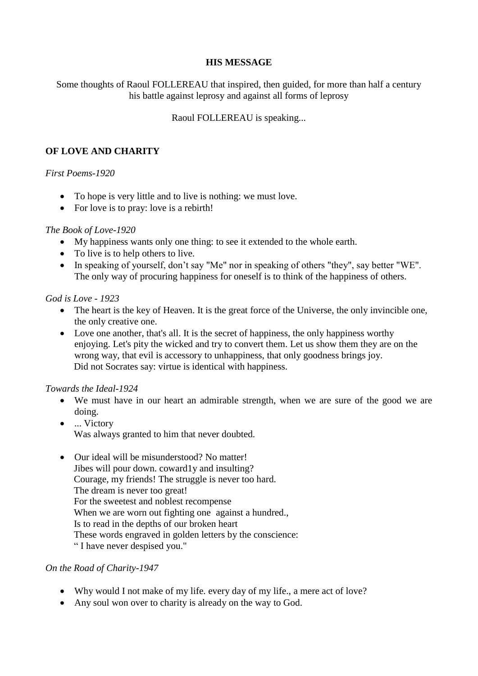#### **HIS MESSAGE**

Some thoughts of Raoul FOLLEREAU that inspired, then guided, for more than half a century his battle against leprosy and against all forms of leprosy

#### Raoul FOLLEREAU is speaking...

### **OF LOVE AND CHARITY**

#### *First Poems-1920*

- To hope is very little and to live is nothing: we must love.
- For love is to pray: love is a rebirth!

#### *The Book of Love-1920*

- My happiness wants only one thing: to see it extended to the whole earth.
- To live is to help others to live.
- In speaking of yourself, don't say "Me" nor in speaking of others "they", say better "WE". The only way of procuring happiness for oneself is to think of the happiness of others.

#### *God is Love - 1923*

- The heart is the key of Heaven. It is the great force of the Universe, the only invincible one, the only creative one.
- Love one another, that's all. It is the secret of happiness, the only happiness worthy enjoying. Let's pity the wicked and try to convert them. Let us show them they are on the wrong way, that evil is accessory to unhappiness, that only goodness brings joy. Did not Socrates say: virtue is identical with happiness.

#### *Towards the Ideal-1924*

- We must have in our heart an admirable strength, when we are sure of the good we are doing.
- ... Victory Was always granted to him that never doubted.
- Our ideal will be misunderstood? No matter! Jibes will pour down. coward1y and insulting? Courage, my friends! The struggle is never too hard. The dream is never too great! For the sweetest and noblest recompense When we are worn out fighting one against a hundred., Is to read in the depths of our broken heart These words engraved in golden letters by the conscience: " I have never despised you."

#### *On the Road of Charity-1947*

- Why would I not make of my life. every day of my life., a mere act of love?
- Any soul won over to charity is already on the way to God.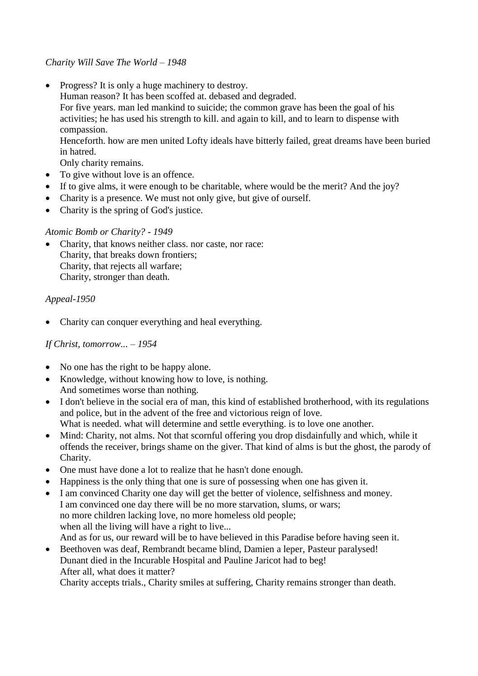### *Charity Will Save The World – 1948*

• Progress? It is only a huge machinery to destroy.

Human reason? It has been scoffed at. debased and degraded.

For five years. man led mankind to suicide; the common grave has been the goal of his activities; he has used his strength to kill. and again to kill, and to learn to dispense with compassion.

Henceforth. how are men united Lofty ideals have bitterly failed, great dreams have been buried in hatred.

Only charity remains.

- To give without love is an offence.
- If to give alms, it were enough to be charitable, where would be the merit? And the joy?
- Charity is a presence. We must not only give, but give of ourself.
- Charity is the spring of God's justice.

#### *Atomic Bomb or Charity? - 1949*

• Charity, that knows neither class. nor caste, nor race: Charity, that breaks down frontiers; Charity, that rejects all warfare; Charity, stronger than death.

#### *Appeal-1950*

• Charity can conquer everything and heal everything.

### *If Christ, tomorrow... – 1954*

- No one has the right to be happy alone.
- Knowledge, without knowing how to love, is nothing. And sometimes worse than nothing.
- I don't believe in the social era of man, this kind of established brotherhood, with its regulations and police, but in the advent of the free and victorious reign of love. What is needed. what will determine and settle everything. is to love one another.
- Mind: Charity, not alms. Not that scornful offering you drop disdainfully and which, while it offends the receiver, brings shame on the giver. That kind of alms is but the ghost, the parody of Charity.
- One must have done a lot to realize that he hasn't done enough.
- Happiness is the only thing that one is sure of possessing when one has given it.
- I am convinced Charity one day will get the better of violence, selfishness and money. I am convinced one day there will be no more starvation, slums, or wars; no more children lacking love, no more homeless old people; when all the living will have a right to live... And as for us, our reward will be to have believed in this Paradise before having seen it.
- Beethoven was deaf, Rembrandt became blind, Damien a leper, Pasteur paralysed! Dunant died in the Incurable Hospital and Pauline Jaricot had to beg! After all, what does it matter?

Charity accepts trials., Charity smiles at suffering, Charity remains stronger than death.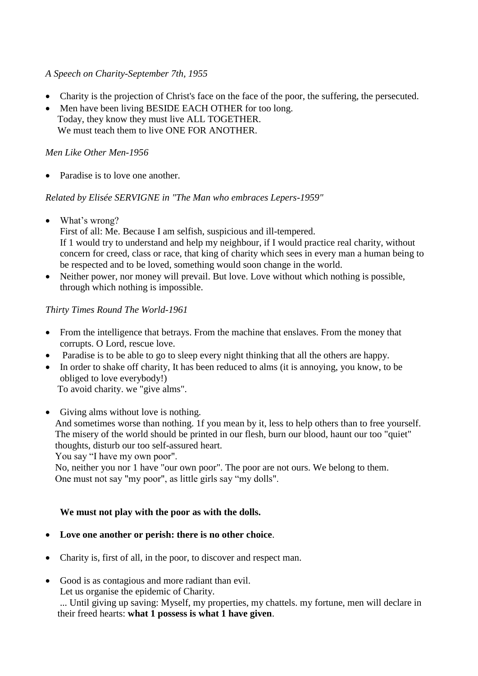### *A Speech on Charity-September 7th, 1955*

- Charity is the projection of Christ's face on the face of the poor, the suffering, the persecuted.
- Men have been living BESIDE EACH OTHER for too long. Today, they know they must live ALL TOGETHER. We must teach them to live ONE FOR ANOTHER.

### *Men Like Other Men-1956*

• Paradise is to love one another.

### *Related by Elisée SERVIGNE in "The Man who embraces Lepers-1959"*

• What's wrong?

 First of all: Me. Because I am selfish, suspicious and ill-tempered. If 1 would try to understand and help my neighbour, if I would practice real charity, without concern for creed, class or race, that king of charity which sees in every man a human being to be respected and to be loved, something would soon change in the world.

• Neither power, nor money will prevail. But love. Love without which nothing is possible, through which nothing is impossible.

*Thirty Times Round The World-1961*

- From the intelligence that betrays. From the machine that enslaves. From the money that corrupts. O Lord, rescue love.
- Paradise is to be able to go to sleep every night thinking that all the others are happy.
- In order to shake off charity, It has been reduced to alms (it is annoying, you know, to be obliged to love everybody!)

To avoid charity. we "give alms".

• Giving alms without love is nothing.

 And sometimes worse than nothing. 1f you mean by it, less to help others than to free yourself. The misery of the world should be printed in our flesh, burn our blood, haunt our too "quiet" thoughts, disturb our too self-assured heart.

You say "I have my own poor".

 No, neither you nor 1 have "our own poor". The poor are not ours. We belong to them. One must not say "my poor", as little girls say "my dolls".

# **We must not play with the poor as with the dolls.**

### **Love one another or perish: there is no other choice**.

- Charity is, first of all, in the poor, to discover and respect man.
- Good is as contagious and more radiant than evil.

Let us organise the epidemic of Charity.

 ... Until giving up saving: Myself, my properties, my chattels. my fortune, men will declare in their freed hearts: **what 1 possess is what 1 have given**.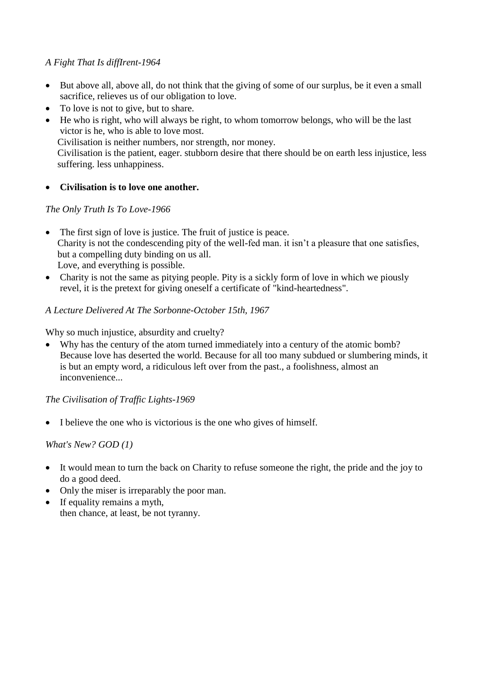### *A Fight That Is diffIrent-1964*

- But above all, above all, do not think that the giving of some of our surplus, be it even a small sacrifice, relieves us of our obligation to love.
- To love is not to give, but to share.
- He who is right, who will always be right, to whom tomorrow belongs, who will be the last victor is he, who is able to love most.

Civilisation is neither numbers, nor strength, nor money.

 Civilisation is the patient, eager. stubborn desire that there should be on earth less injustice, less suffering. less unhappiness.

### **Civilisation is to love one another.**

### *The Only Truth Is To Love-1966*

- The first sign of love is justice. The fruit of justice is peace. Charity is not the condescending pity of the well-fed man. it isn't a pleasure that one satisfies, but a compelling duty binding on us all. Love, and everything is possible.
- Charity is not the same as pitying people. Pity is a sickly form of love in which we piously revel, it is the pretext for giving oneself a certificate of "kind-heartedness".

#### *A Lecture Delivered At The Sorbonne-October 15th, 1967*

Why so much injustice, absurdity and cruelty?

 Why has the century of the atom turned immediately into a century of the atomic bomb? Because love has deserted the world. Because for all too many subdued or slumbering minds, it is but an empty word, a ridiculous left over from the past., a foolishness, almost an inconvenience.

### *The Civilisation of Traffic Lights-1969*

• I believe the one who is victorious is the one who gives of himself.

### *What's New? GOD (1)*

- It would mean to turn the back on Charity to refuse someone the right, the pride and the joy to do a good deed.
- Only the miser is irreparably the poor man.
- If equality remains a myth, then chance, at least, be not tyranny.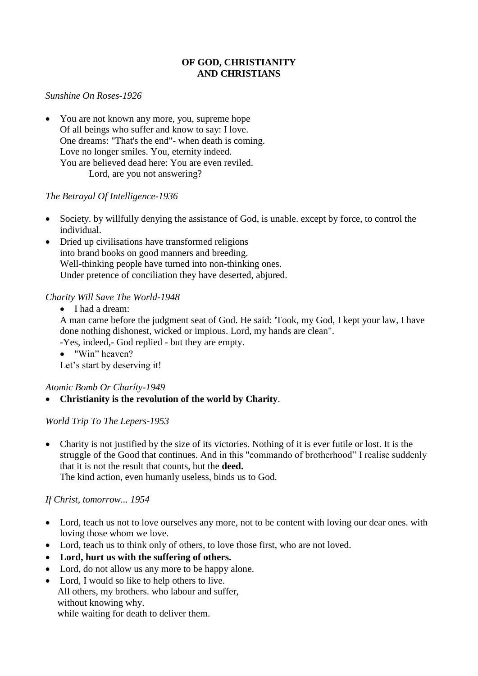### **OF GOD, CHRISTIANITY AND CHRISTIANS**

#### *Sunshine On Roses-1926*

• You are not known any more, you, supreme hope Of all beings who suffer and know to say: I love. One dreams: "That's the end"- when death is coming. Love no longer smiles. You, eternity indeed. You are believed dead here: You are even reviled. Lord, are you not answering?

#### *The Betrayal Of Intelligence-1936*

- Society. by willfully denying the assistance of God, is unable. except by force, to control the individual.
- Dried up civilisations have transformed religions into brand books on good manners and breeding. Well-thinking people have turned into non-thinking ones. Under pretence of conciliation they have deserted, abjured.

### *Charity Will Save The World-1948*

• I had a dream:

 A man came before the judgment seat of God. He said: 'Took, my God, I kept your law, I have done nothing dishonest, wicked or impious. Lord, my hands are clean".

-Yes, indeed,- God replied - but they are empty.

• "Win" heaven?

Let's start by deserving it!

### *Atomic Bomb Or Charíty-1949*

**Christianity is the revolution of the world by Charity**.

### *World Trip To The Lepers-1953*

 Charity is not justified by the size of its victories. Nothing of it is ever futile or lost. It is the struggle of the Good that continues. And in this "commando of brotherhood" I realise suddenly that it is not the result that counts, but the **deed.** The kind action, even humanly useless, binds us to God.

### *If Christ, tomorrow... 1954*

- Lord, teach us not to love ourselves any more, not to be content with loving our dear ones. with loving those whom we love.
- Lord, teach us to think only of others, to love those first, who are not loved.
- **Lord, hurt us with the suffering of others.**
- Lord, do not allow us any more to be happy alone.
- Lord, I would so like to help others to live. All others, my brothers. who labour and suffer, without knowing why. while waiting for death to deliver them.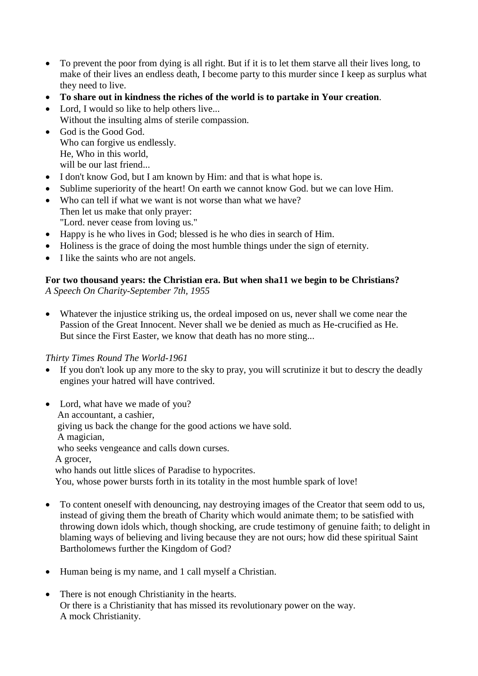- To prevent the poor from dying is all right. But if it is to let them starve all their lives long, to make of their lives an endless death, I become party to this murder since I keep as surplus what they need to live.
- **To share out in kindness the riches of the world is to partake in Your creation**.
- Lord, I would so like to help others live...
- Without the insulting alms of sterile compassion.
- God is the Good God. Who can forgive us endlessly. He, Who in this world, will be our last friend...
- I don't know God, but I am known by Him: and that is what hope is.
- Sublime superiority of the heart! On earth we cannot know God. but we can love Him.
- Who can tell if what we want is not worse than what we have? Then let us make that only prayer: "Lord. never cease from loving us."

Happy is he who lives in God; blessed is he who dies in search of Him.

- Holiness is the grace of doing the most humble things under the sign of eternity.
- I like the saints who are not angels.

# **For two thousand years: the Christian era. But when sha11 we begin to be Christians?**

*A Speech On Charity-September 7th, 1955*

 Whatever the injustice striking us, the ordeal imposed on us, never shall we come near the Passion of the Great Innocent. Never shall we be denied as much as He-crucified as He. But since the First Easter, we know that death has no more sting...

### *Thirty Times Round The World-1961*

- If you don't look up any more to the sky to pray, you will scrutinize it but to descry the deadly engines your hatred will have contrived.
- Lord, what have we made of you? An accountant, a cashier, giving us back the change for the good actions we have sold. A magician, who seeks vengeance and calls down curses. A grocer, who hands out little slices of Paradise to hypocrites. You, whose power bursts forth in its totality in the most humble spark of love!
- To content oneself with denouncing, nay destroying images of the Creator that seem odd to us, instead of giving them the breath of Charity which would animate them; to be satisfied with throwing down idols which, though shocking, are crude testimony of genuine faith; to delight in blaming ways of believing and living because they are not ours; how did these spiritual Saint Bartholomews further the Kingdom of God?
- Human being is my name, and 1 call myself a Christian.
- There is not enough Christianity in the hearts. Or there is a Christianity that has missed its revolutionary power on the way. A mock Christianity.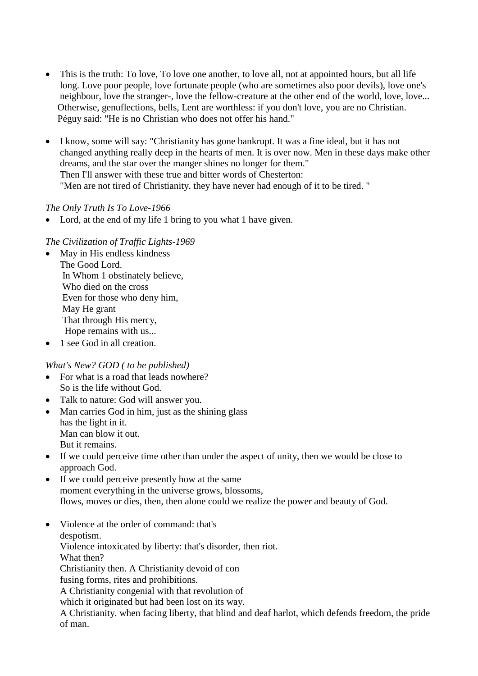- This is the truth: To love, To love one another, to love all, not at appointed hours, but all life long. Love poor people, love fortunate people (who are sometimes also poor devils), love one's neighbour, love the stranger-, love the fellow-creature at the other end of the world, love, love... Otherwise, genuflections, bells, Lent are worthless: if you don't love, you are no Christian. Péguy said: "He is no Christian who does not offer his hand."
- I know, some will say: "Christianity has gone bankrupt. It was a fine ideal, but it has not changed anything really deep in the hearts of men. It is over now. Men in these days make other dreams, and the star over the manger shines no longer for them." Then I'll answer with these true and bitter words of Chesterton: "Men are not tired of Christianity. they have never had enough of it to be tired. "

#### *The Only Truth Is To Love-1966*

Lord, at the end of my life 1 bring to you what 1 have given.

### *The Civilization of Traffic Lights-1969*

- May in His endless kindness The Good Lord. In Whom 1 obstinately believe, Who died on the cross Even for those who deny him, May He grant That through His mercy, Hope remains with us...
- 1 see God in all creation.

### *What's New? GOD ( to be published)*

- For what is a road that leads nowhere? So is the life without God.
- Talk to nature: God will answer you.
- Man carries God in him, just as the shining glass has the light in it. Man can blow it out. But it remains.
- If we could perceive time other than under the aspect of unity, then we would be close to approach God.
- If we could perceive presently how at the same moment everything in the universe grows, blossoms, flows, moves or dies, then, then alone could we realize the power and beauty of God.
- Violence at the order of command: that's despotism. Violence intoxicated by liberty: that's disorder, then riot. What then? Christianity then. A Christianity devoid of con fusing forms, rites and prohibitions. A Christianity congenial with that revolution of which it originated but had been lost on its way. A Christianity. when facing liberty, that blind and deaf harlot, which defends freedom, the pride of man.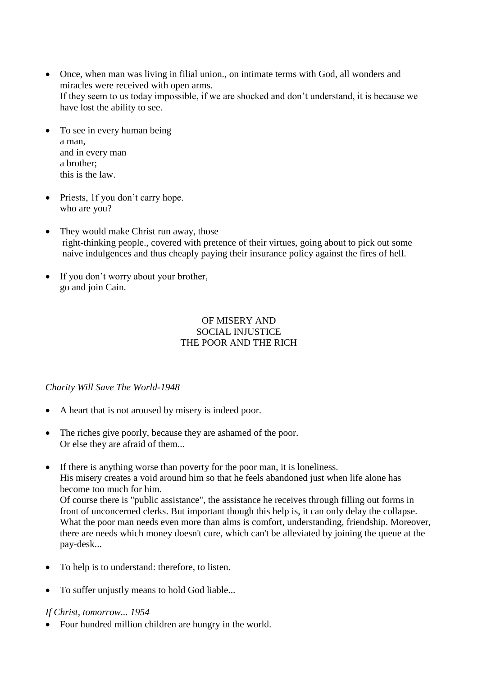- Once, when man was living in filial union., on intimate terms with God, all wonders and miracles were received with open arms. If they seem to us today impossible, if we are shocked and don't understand, it is because we have lost the ability to see.
- To see in every human being a man, and in every man a brother; this is the law.
- Priests, 1f you don't carry hope. who are you?
- They would make Christ run away, those right-thinking people., covered with pretence of their virtues, going about to pick out some naive indulgences and thus cheaply paying their insurance policy against the fires of hell.
- If you don't worry about your brother, go and join Cain.

### OF MISERY AND SOCIAL INJUSTICE THE POOR AND THE RICH

### *Charity Will Save The World-1948*

- A heart that is not aroused by misery is indeed poor.
- The riches give poorly, because they are ashamed of the poor. Or else they are afraid of them...
- If there is anything worse than poverty for the poor man, it is loneliness. His misery creates a void around him so that he feels abandoned just when life alone has become too much for him. Of course there is "public assistance", the assistance he receives through filling out forms in front of unconcerned clerks. But important though this help is, it can only delay the collapse. What the poor man needs even more than alms is comfort, understanding, friendship. Moreover, there are needs which money doesn't cure, which can't be alleviated by joining the queue at the pay-desk...
- To help is to understand: therefore, to listen.
- To suffer unjustly means to hold God liable...

### *If Christ, tomorrow... 1954*

• Four hundred million children are hungry in the world.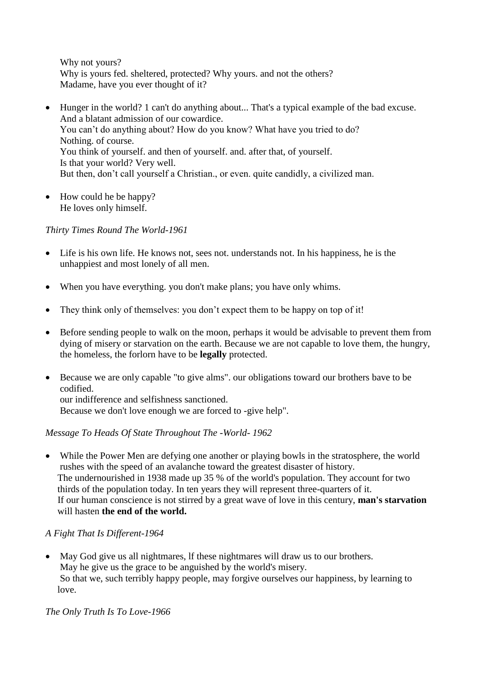Why not yours? Why is yours fed. sheltered, protected? Why yours. and not the others? Madame, have you ever thought of it?

- Hunger in the world? 1 can't do anything about... That's a typical example of the bad excuse. And a blatant admission of our cowardice. You can't do anything about? How do you know? What have you tried to do? Nothing. of course. You think of yourself. and then of yourself. and. after that, of yourself. Is that your world? Very well. But then, don't call yourself a Christian., or even. quite candidly, a civilized man.
- How could he be happy? He loves only himself.

### *Thirty Times Round The World-1961*

- Life is his own life. He knows not, sees not. understands not. In his happiness, he is the unhappiest and most lonely of all men.
- When you have everything. you don't make plans; you have only whims.
- They think only of themselves: you don't expect them to be happy on top of it!
- Before sending people to walk on the moon, perhaps it would be advisable to prevent them from dying of misery or starvation on the earth. Because we are not capable to love them, the hungry, the homeless, the forlorn have to be **legally** protected.
- Because we are only capable "to give alms". our obligations toward our brothers bave to be codified. our indifference and selfishness sanctioned. Because we don't love enough we are forced to -give help".

### *Message To Heads Of State Throughout The -World- 1962*

 While the Power Men are defying one another or playing bowls in the stratosphere, the world rushes with the speed of an avalanche toward the greatest disaster of history. The undernourished in 1938 made up 35 % of the world's population. They account for two thirds of the population today. In ten years they will represent three-quarters of it. If our human conscience is not stirred by a great wave of love in this century, **man's starvation** will hasten **the end of the world.**

### *A Fight That Is Different-1964*

 May God give us all nightmares, lf these nightmares will draw us to our brothers. May he give us the grace to be anguished by the world's misery. So that we, such terribly happy people, may forgive ourselves our happiness, by learning to love.

*The Only Truth Is To Love-1966*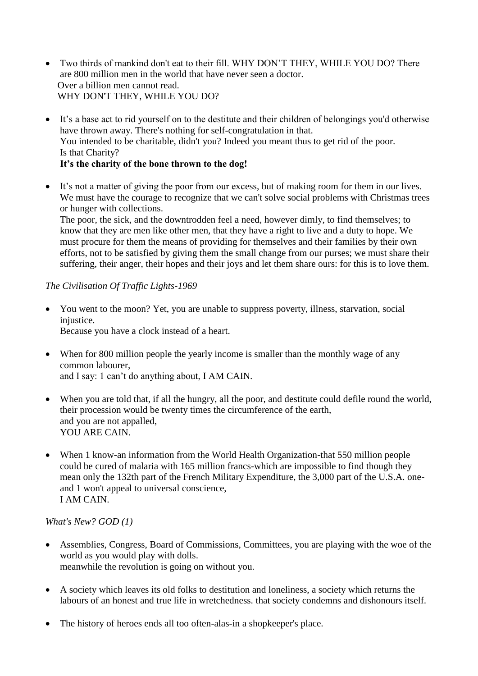- Two thirds of mankind don't eat to their fill. WHY DON'T THEY, WHILE YOU DO? There are 800 million men in the world that have never seen a doctor. Over a billion men cannot read. WHY DON'T THEY, WHILE YOU DO?
- It's a base act to rid yourself on to the destitute and their children of belongings you'd otherwise have thrown away. There's nothing for self-congratulation in that. You intended to be charitable, didn't you? Indeed you meant thus to get rid of the poor. Is that Charity? **It's the charity of the bone thrown to the dog!**
- It's not a matter of giving the poor from our excess, but of making room for them in our lives. We must have the courage to recognize that we can't solve social problems with Christmas trees or hunger with collections.

 The poor, the sick, and the downtrodden feel a need, however dimly, to find themselves; to know that they are men like other men, that they have a right to live and a duty to hope. We must procure for them the means of providing for themselves and their families by their own efforts, not to be satisfied by giving them the small change from our purses; we must share their suffering, their anger, their hopes and their joys and let them share ours: for this is to love them.

### *The Civilisation Of Traffic Lights-1969*

- You went to the moon? Yet, you are unable to suppress poverty, illness, starvation, social injustice. Because you have a clock instead of a heart.
- When for 800 million people the yearly income is smaller than the monthly wage of any common labourer, and I say: 1 can't do anything about, I AM CAIN.
- When you are told that, if all the hungry, all the poor, and destitute could defile round the world, their procession would be twenty times the circumference of the earth, and you are not appalled, YOU ARE CAIN.
- When 1 know-an information from the World Health Organization-that 550 million people could be cured of malaria with 165 million francs-which are impossible to find though they mean only the 132th part of the French Military Expenditure, the 3,000 part of the U.S.A. one and 1 won't appeal to universal conscience, I AM CAIN.

### *What's New? GOD (1)*

- Assemblies, Congress, Board of Commissions, Committees, you are playing with the woe of the world as you would play with dolls. meanwhile the revolution is going on without you.
- A society which leaves its old folks to destitution and loneliness, a society which returns the labours of an honest and true life in wretchedness. that society condemns and dishonours itself.
- The history of heroes ends all too often-alas-in a shopkeeper's place.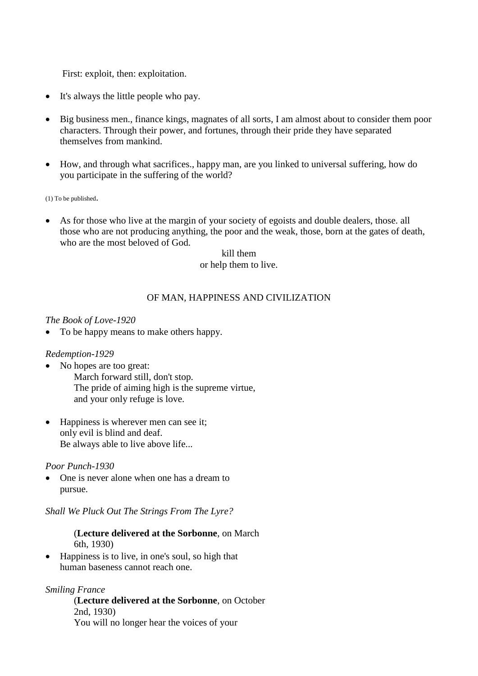First: exploit, then: exploitation.

- It's always the little people who pay.
- Big business men., finance kings, magnates of all sorts, I am almost about to consider them poor characters. Through their power, and fortunes, through their pride they have separated themselves from mankind.
- How, and through what sacrifices., happy man, are you linked to universal suffering, how do you participate in the suffering of the world?

(1) To be published.

 As for those who live at the margin of your society of egoists and double dealers, those. all those who are not producing anything, the poor and the weak, those, born at the gates of death, who are the most beloved of God.

> kill them or help them to live.

### OF MAN, HAPPINESS AND CIVILIZATION

#### *The Book of Love-1920*

• To be happy means to make others happy.

#### *Redemption-1929*

- No hopes are too great:
	- March forward still, don't stop. The pride of aiming high is the supreme virtue, and your only refuge is love.
- Happiness is wherever men can see it; only evil is blind and deaf. Be always able to live above life...

#### *Poor Punch-1930*

• One is never alone when one has a dream to pursue.

#### *Shall We Pluck Out The Strings From The Lyre?*

### (**Lecture delivered at the Sorbonne**, on March 6th, 1930)

• Happiness is to live, in one's soul, so high that human baseness cannot reach one.

#### *Smiling France*

(**Lecture delivered at the Sorbonne**, on October 2nd, 1930) You will no longer hear the voices of your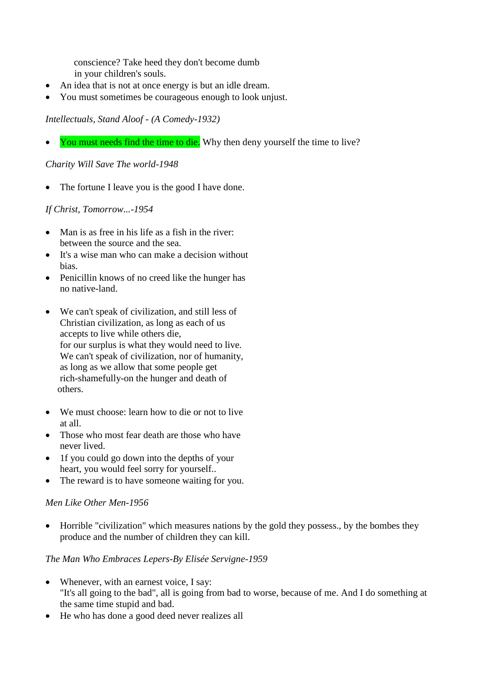conscience? Take heed they don't become dumb in your children's souls.

- An idea that is not at once energy is but an idle dream.
- You must sometimes be courageous enough to look unjust.

### *Intellectuals, Stand Aloof - (A Comedy-1932)*

You must needs find the time to die. Why then deny yourself the time to live?

*Charity Will Save The world-1948*

• The fortune I leave you is the good I have done.

#### *If Christ, Tomorrow...-1954*

- Man is as free in his life as a fish in the river: between the source and the sea.
- $\bullet$  It's a wise man who can make a decision without bias.
- Penicillin knows of no creed like the hunger has no native-land.
- We can't speak of civilization, and still less of Christian civilization, as long as each of us accepts to live while others die, for our surplus is what they would need to live. We can't speak of civilization, nor of humanity, as long as we allow that some people get rich-shamefully-on the hunger and death of others.
- We must choose: learn how to die or not to live at all.
- Those who most fear death are those who have never lived.
- 1f you could go down into the depths of your heart, you would feel sorry for yourself..
- The reward is to have some one waiting for you.

#### *Men Like Other Men-1956*

• Horrible "civilization" which measures nations by the gold they possess., by the bombes they produce and the number of children they can kill.

#### *The Man Who Embraces Lepers-By Elisée Servigne-1959*

- Whenever, with an earnest voice, I say: "It's all going to the bad", all is going from bad to worse, because of me. And I do something at the same time stupid and bad.
- He who has done a good deed never realizes all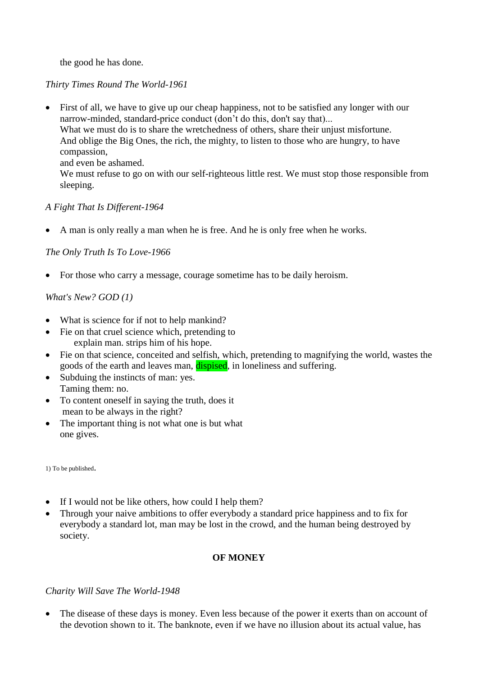the good he has done.

*Thirty Times Round The World-1961*

 First of all, we have to give up our cheap happiness, not to be satisfied any longer with our narrow-minded, standard-price conduct (don't do this, don't say that)...

 What we must do is to share the wretchedness of others, share their unjust misfortune. And oblige the Big Ones, the rich, the mighty, to listen to those who are hungry, to have compassion,

and even be ashamed.

 We must refuse to go on with our self-righteous little rest. We must stop those responsible from sleeping.

### *A Fight That Is Different-1964*

A man is only really a man when he is free. And he is only free when he works.

### *The Only Truth Is To Love-1966*

• For those who carry a message, courage sometime has to be daily heroism.

# *What's New? GOD (1)*

- What is science for if not to help mankind?
- Fie on that cruel science which, pretending to explain man. strips him of his hope.
- Fie on that science, conceited and selfish, which, pretending to magnifying the world, wastes the goods of the earth and leaves man, dispised, in loneliness and suffering.
- Subduing the instincts of man: yes. Taming them: no.
- To content oneself in saying the truth, does it mean to be always in the right?
- The important thing is not what one is but what one gives.

1) To be published.

- If I would not be like others, how could I help them?
- Through your naive ambitions to offer everybody a standard price happiness and to fix for everybody a standard lot, man may be lost in the crowd, and the human being destroyed by society.

### **OF MONEY**

### *Charity Will Save The World-1948*

• The disease of these days is money. Even less because of the power it exerts than on account of the devotion shown to it. The banknote, even if we have no illusion about its actual value, has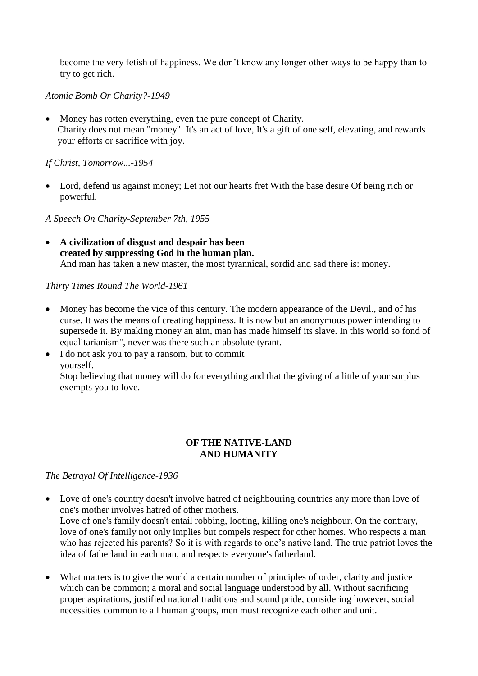become the very fetish of happiness. We don't know any longer other ways to be happy than to try to get rich.

*Atomic Bomb Or Charity?-1949*

• Money has rotten everything, even the pure concept of Charity. Charity does not mean "money". It's an act of love, It's a gift of one self, elevating, and rewards your efforts or sacrifice with joy.

*If Christ, Tomorrow...-1954*

 Lord, defend us against money; Let not our hearts fret With the base desire Of being rich or powerful.

*A Speech On Charity-September 7th, 1955*

 **A civilization of disgust and despair has been created by suppressing God in the human plan.** And man has taken a new master, the most tyrannical, sordid and sad there is: money.

*Thirty Times Round The World-1961*

- Money has become the vice of this century. The modern appearance of the Devil., and of his curse. It was the means of creating happiness. It is now but an anonymous power intending to supersede it. By making money an aim, man has made himself its slave. In this world so fond of equalitarianism", never was there such an absolute tyrant.
- I do not ask you to pay a ransom, but to commit yourself.

 Stop believing that money will do for everything and that the giving of a little of your surplus exempts you to love.

### **OF THE NATIVE-LAND AND HUMANITY**

### *The Betrayal Of Intelligence-1936*

- Love of one's country doesn't involve hatred of neighbouring countries any more than love of one's mother involves hatred of other mothers. Love of one's family doesn't entail robbing, looting, killing one's neighbour. On the contrary, love of one's family not only implies but compels respect for other homes. Who respects a man who has rejected his parents? So it is with regards to one's native land. The true patriot loves the idea of fatherland in each man, and respects everyone's fatherland.
- What matters is to give the world a certain number of principles of order, clarity and justice which can be common; a moral and social language understood by all. Without sacrificing proper aspirations, justified national traditions and sound pride, considering however, social necessities common to all human groups, men must recognize each other and unit.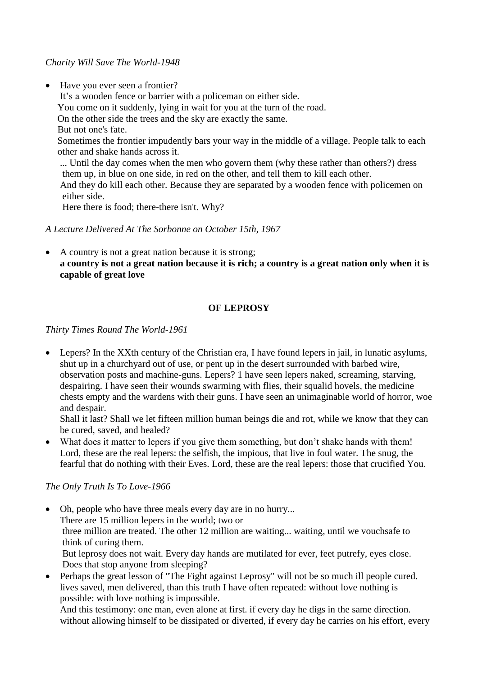### *Charity Will Save The World-1948*

• Have you ever seen a frontier?

It's a wooden fence or barrier with a policeman on either side. You come on it suddenly, lying in wait for you at the turn of the road. On the other side the trees and the sky are exactly the same. But not one's fate. Sometimes the frontier impudently bars your way in the middle of a village. People talk to each other and shake hands across it. ... Until the day comes when the men who govern them (why these rather than others?) dress them up, in blue on one side, in red on the other, and tell them to kill each other. And they do kill each other. Because they are separated by a wooden fence with policemen on either side.

Here there is food; there-there isn't. Why?

*A Lecture Delivered At The Sorbonne on October 15th, 1967*

 A country is not a great nation because it is strong; **a country is not a great nation because it is rich; a country is a great nation only when it is capable of great love**

#### **OF LEPROSY**

#### *Thirty Times Round The World-1961*

 Lepers? In the XXth century of the Christian era, I have found lepers in jail, in lunatic asylums, shut up in a churchyard out of use, or pent up in the desert surrounded with barbed wire, observation posts and machine-guns. Lepers? 1 have seen lepers naked, screaming, starving, despairing. I have seen their wounds swarming with flies, their squalid hovels, the medicine chests empty and the wardens with their guns. I have seen an unimaginable world of horror, woe and despair.

 Shall it last? Shall we let fifteen million human beings die and rot, while we know that they can be cured, saved, and healed?

 What does it matter to lepers if you give them something, but don't shake hands with them! Lord, these are the real lepers: the selfish, the impious, that live in foul water. The snug, the fearful that do nothing with their Eves. Lord, these are the real lepers: those that crucified You.

#### *The Only Truth Is To Love-1966*

- Oh, people who have three meals every day are in no hurry... There are 15 million lepers in the world; two or three million are treated. The other 12 million are waiting... waiting, until we vouchsafe to think of curing them. But leprosy does not wait. Every day hands are mutilated for ever, feet putrefy, eyes close. Does that stop anyone from sleeping?
- Perhaps the great lesson of "The Fight against Leprosy" will not be so much ill people cured. lives saved, men delivered, than this truth I have often repeated: without love nothing is possible: with love nothing is impossible.

 And this testimony: one man, even alone at first. if every day he digs in the same direction. without allowing himself to be dissipated or diverted, if every day he carries on his effort, every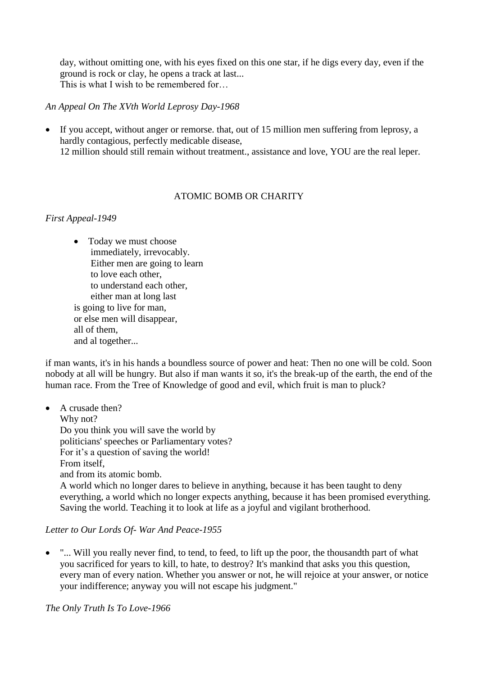day, without omitting one, with his eyes fixed on this one star, if he digs every day, even if the ground is rock or clay, he opens a track at last... This is what I wish to be remembered for…

*An Appeal On The XVth World Leprosy Day-1968*

 If you accept, without anger or remorse. that, out of 15 million men suffering from leprosy, a hardly contagious, perfectly medicable disease, 12 million should still remain without treatment., assistance and love, YOU are the real leper.

### ATOMIC BOMB OR CHARITY

### *First Appeal-1949*

• Today we must choose immediately, irrevocably. Either men are going to learn to love each other, to understand each other, either man at long last is going to live for man, or else men will disappear, all of them, and al together...

if man wants, it's in his hands a boundless source of power and heat: Then no one will be cold. Soon nobody at all will be hungry. But also if man wants it so, it's the break-up of the earth, the end of the human race. From the Tree of Knowledge of good and evil, which fruit is man to pluck?

• A crusade then?

 Why not? Do you think you will save the world by politicians' speeches or Parliamentary votes? For it's a question of saving the world! From itself, and from its atomic bomb. A world which no longer dares to believe in anything, because it has been taught to deny everything, a world which no longer expects anything, because it has been promised everything. Saving the world. Teaching it to look at life as a joyful and vigilant brotherhood.

### *Letter to Our Lords Of- War And Peace-1955*

 "... Will you really never find, to tend, to feed, to lift up the poor, the thousandth part of what you sacrificed for years to kill, to hate, to destroy? It's mankind that asks you this question, every man of every nation. Whether you answer or not, he will rejoice at your answer, or notice your indifference; anyway you will not escape his judgment."

*The Only Truth Is To Love-1966*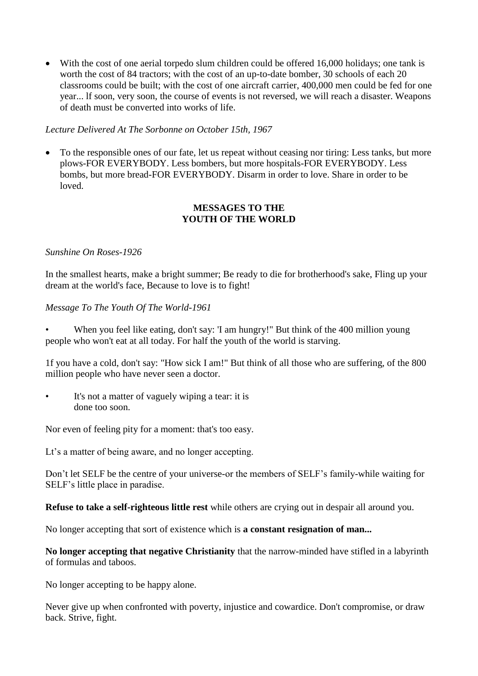With the cost of one aerial torpedo slum children could be offered 16,000 holidays; one tank is worth the cost of 84 tractors; with the cost of an up-to-date bomber, 30 schools of each 20 classrooms could be built; with the cost of one aircraft carrier, 400,000 men could be fed for one year... lf soon, very soon, the course of events is not reversed, we will reach a disaster. Weapons of death must be converted into works of life.

#### *Lecture Delivered At The Sorbonne on October 15th, 1967*

 To the responsible ones of our fate, let us repeat without ceasing nor tiring: Less tanks, but more plows-FOR EVERYBODY. Less bombers, but more hospitals-FOR EVERYBODY. Less bombs, but more bread-FOR EVERYBODY. Disarm in order to love. Share in order to be loved.

#### **MESSAGES TO THE YOUTH OF THE WORLD**

#### *Sunshine On Roses-1926*

In the smallest hearts, make a bright summer; Be ready to die for brotherhood's sake, Fling up your dream at the world's face, Because to love is to fight!

#### *Message To The Youth Of The World-1961*

• When you feel like eating, don't say: 'I am hungry!" But think of the 400 million young people who won't eat at all today. For half the youth of the world is starving.

1f you have a cold, don't say: "How sick I am!" But think of all those who are suffering, of the 800 million people who have never seen a doctor.

It's not a matter of vaguely wiping a tear: it is done too soon.

Nor even of feeling pity for a moment: that's too easy.

Lt's a matter of being aware, and no longer accepting.

Don't let SELF be the centre of your universe-or the members of SELF's family-while waiting for SELF's little place in paradise.

**Refuse to take a self-righteous little rest** while others are crying out in despair all around you.

No longer accepting that sort of existence which is **a constant resignation of man...**

**No longer accepting that negative Christianity** that the narrow-minded have stifled in a labyrinth of formulas and taboos.

No longer accepting to be happy alone.

Never give up when confronted with poverty, injustice and cowardice. Don't compromise, or draw back. Strive, fight.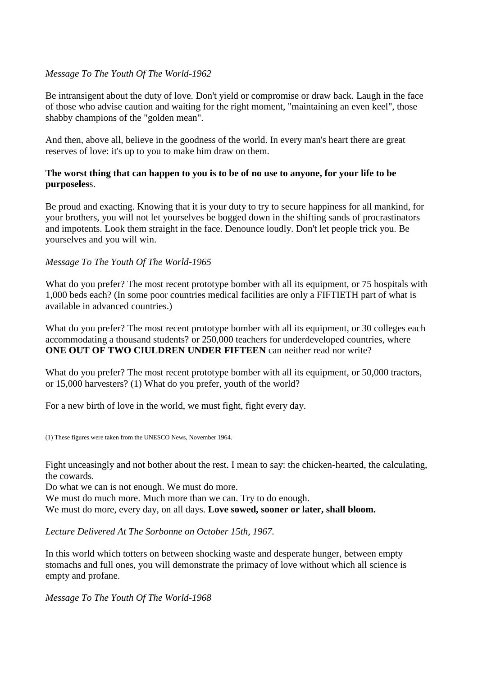### *Message To The Youth Of The World-1962*

Be intransigent about the duty of love. Don't yield or compromise or draw back. Laugh in the face of those who advise caution and waiting for the right moment, "maintaining an even keel", those shabby champions of the "golden mean".

And then, above all, believe in the goodness of the world. In every man's heart there are great reserves of love: it's up to you to make him draw on them.

#### **The worst thing that can happen to you is to be of no use to anyone, for your life to be purposeles**s.

Be proud and exacting. Knowing that it is your duty to try to secure happiness for all mankind, for your brothers, you will not let yourselves be bogged down in the shifting sands of procrastinators and impotents. Look them straight in the face. Denounce loudly. Don't let people trick you. Be yourselves and you will win.

#### *Message To The Youth Of The World-1965*

What do you prefer? The most recent prototype bomber with all its equipment, or 75 hospitals with 1,000 beds each? (In some poor countries medical facilities are only a FIFTIETH part of what is available in advanced countries.)

What do you prefer? The most recent prototype bomber with all its equipment, or 30 colleges each accommodating a thousand students? or 250,000 teachers for underdeveloped countries, where **ONE OUT OF TWO CIULDREN UNDER FIFTEEN** can neither read nor write?

What do you prefer? The most recent prototype bomber with all its equipment, or 50,000 tractors, or 15,000 harvesters? (1) What do you prefer, youth of the world?

For a new birth of love in the world, we must fight, fight every day.

(1) These figures were taken from the UNESCO News, November 1964.

Fight unceasingly and not bother about the rest. I mean to say: the chicken-hearted, the calculating, the cowards.

Do what we can is not enough. We must do more.

We must do much more. Much more than we can. Try to do enough.

We must do more, every day, on all days. **Love sowed, sooner or later, shall bloom.**

*Lecture Delivered At The Sorbonne on October 15th, 1967.*

In this world which totters on between shocking waste and desperate hunger, between empty stomachs and full ones, you will demonstrate the primacy of love without which all science is empty and profane.

*Message To The Youth Of The World*-*1968*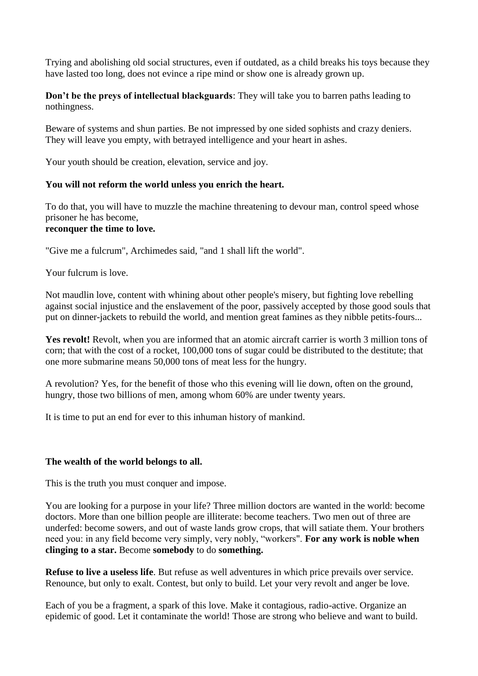Trying and abolishing old social structures, even if outdated, as a child breaks his toys because they have lasted too long, does not evince a ripe mind or show one is already grown up.

**Don't be the preys of intellectual blackguards:** They will take you to barren paths leading to nothingness.

Beware of systems and shun parties. Be not impressed by one sided sophists and crazy deniers. They will leave you empty, with betrayed intelligence and your heart in ashes.

Your youth should be creation, elevation, service and joy.

#### **You will not reform the world unless you enrich the heart.**

To do that, you will have to muzzle the machine threatening to devour man, control speed whose prisoner he has become,

# **reconquer the time to love.**

"Give me a fulcrum", Archimedes said, "and 1 shall lift the world".

Your fulcrum is love.

Not maudlin love, content with whining about other people's misery, but fighting love rebelling against social injustice and the enslavement of the poor, passively accepted by those good souls that put on dinner-jackets to rebuild the world, and mention great famines as they nibble petits-fours...

**Yes revolt!** Revolt, when you are informed that an atomic aircraft carrier is worth 3 million tons of corn; that with the cost of a rocket, 100,000 tons of sugar could be distributed to the destitute; that one more submarine means 50,000 tons of meat less for the hungry.

A revolution? Yes, for the benefit of those who this evening will lie down, often on the ground, hungry, those two billions of men, among whom 60% are under twenty years.

It is time to put an end for ever to this inhuman history of mankind.

#### **The wealth of the world belongs to all.**

This is the truth you must conquer and impose.

You are looking for a purpose in your life? Three million doctors are wanted in the world: become doctors. More than one billion people are illiterate: become teachers. Two men out of three are underfed: become sowers, and out of waste lands grow crops, that will satiate them. Your brothers need you: in any field become very simply, very nobly, "workers". **For any work is noble when clinging to a star.** Become **somebody** to do **something.**

**Refuse to live a useless life**. But refuse as well adventures in which price prevails over service. Renounce, but only to exalt. Contest, but only to build. Let your very revolt and anger be love.

Each of you be a fragment, a spark of this love. Make it contagious, radio-active. Organize an epidemic of good. Let it contaminate the world! Those are strong who believe and want to build.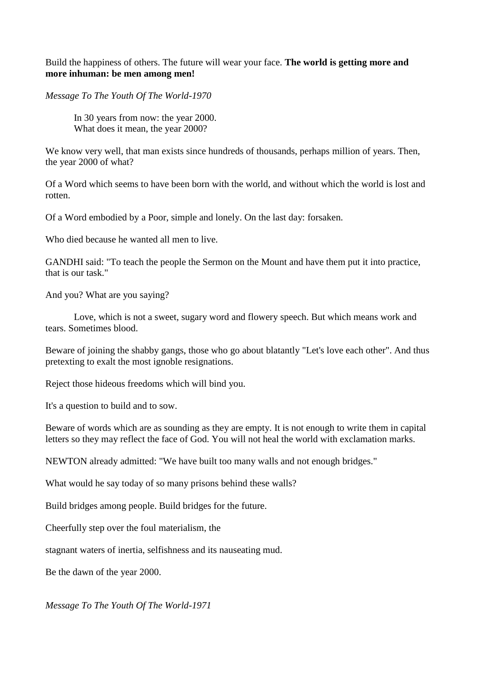Build the happiness of others. The future will wear your face. **The world is getting more and more inhuman: be men among men!**

*Message To The Youth Of The World-1970*

In 30 years from now: the year 2000. What does it mean, the year 2000?

We know very well, that man exists since hundreds of thousands, perhaps million of years. Then, the year 2000 of what?

Of a Word which seems to have been born with the world, and without which the world is lost and rotten.

Of a Word embodied by a Poor, simple and lonely. On the last day: forsaken.

Who died because he wanted all men to live.

GANDHI said: "To teach the people the Sermon on the Mount and have them put it into practice, that is our task."

And you? What are you saying?

Love, which is not a sweet, sugary word and flowery speech. But which means work and tears. Sometimes blood.

Beware of joining the shabby gangs, those who go about blatantly "Let's love each other". And thus pretexting to exalt the most ignoble resignations.

Reject those hideous freedoms which will bind you.

It's a question to build and to sow.

Beware of words which are as sounding as they are empty. It is not enough to write them in capital letters so they may reflect the face of God. You will not heal the world with exclamation marks.

NEWTON already admitted: "We have built too many walls and not enough bridges."

What would he say today of so many prisons behind these walls?

Build bridges among people. Build bridges for the future.

Cheerfully step over the foul materialism, the

stagnant waters of inertia, selfishness and its nauseating mud.

Be the dawn of the year 2000.

*Message To The Youth Of The World-1971*